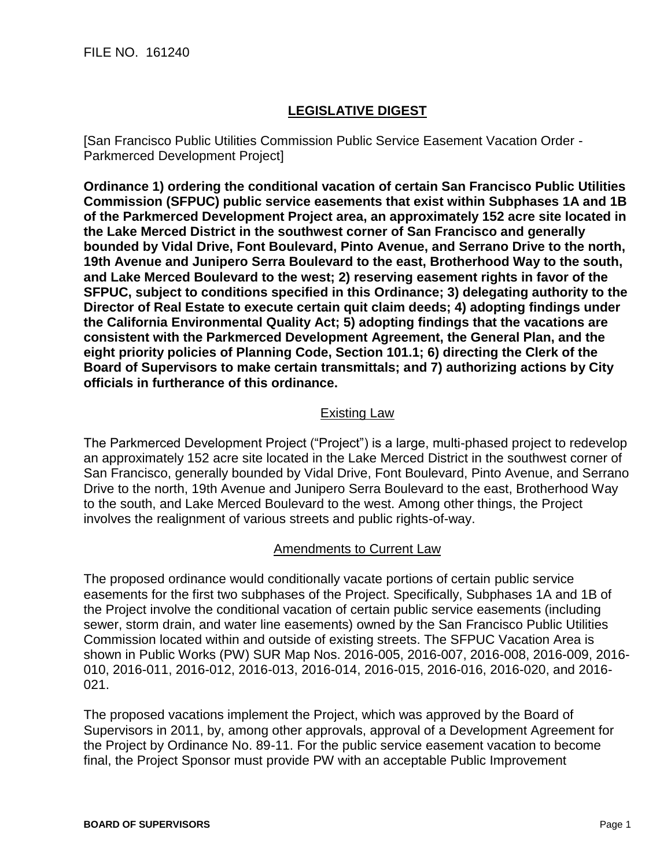## **LEGISLATIVE DIGEST**

[San Francisco Public Utilities Commission Public Service Easement Vacation Order - Parkmerced Development Project]

**Ordinance 1) ordering the conditional vacation of certain San Francisco Public Utilities Commission (SFPUC) public service easements that exist within Subphases 1A and 1B of the Parkmerced Development Project area, an approximately 152 acre site located in the Lake Merced District in the southwest corner of San Francisco and generally bounded by Vidal Drive, Font Boulevard, Pinto Avenue, and Serrano Drive to the north, 19th Avenue and Junipero Serra Boulevard to the east, Brotherhood Way to the south, and Lake Merced Boulevard to the west; 2) reserving easement rights in favor of the SFPUC, subject to conditions specified in this Ordinance; 3) delegating authority to the Director of Real Estate to execute certain quit claim deeds; 4) adopting findings under the California Environmental Quality Act; 5) adopting findings that the vacations are consistent with the Parkmerced Development Agreement, the General Plan, and the eight priority policies of Planning Code, Section 101.1; 6) directing the Clerk of the Board of Supervisors to make certain transmittals; and 7) authorizing actions by City officials in furtherance of this ordinance.**

## Existing Law

The Parkmerced Development Project ("Project") is a large, multi-phased project to redevelop an approximately 152 acre site located in the Lake Merced District in the southwest corner of San Francisco, generally bounded by Vidal Drive, Font Boulevard, Pinto Avenue, and Serrano Drive to the north, 19th Avenue and Junipero Serra Boulevard to the east, Brotherhood Way to the south, and Lake Merced Boulevard to the west. Among other things, the Project involves the realignment of various streets and public rights-of-way.

## Amendments to Current Law

The proposed ordinance would conditionally vacate portions of certain public service easements for the first two subphases of the Project. Specifically, Subphases 1A and 1B of the Project involve the conditional vacation of certain public service easements (including sewer, storm drain, and water line easements) owned by the San Francisco Public Utilities Commission located within and outside of existing streets. The SFPUC Vacation Area is shown in Public Works (PW) SUR Map Nos. 2016-005, 2016-007, 2016-008, 2016-009, 2016- 010, 2016-011, 2016-012, 2016-013, 2016-014, 2016-015, 2016-016, 2016-020, and 2016- 021.

The proposed vacations implement the Project, which was approved by the Board of Supervisors in 2011, by, among other approvals, approval of a Development Agreement for the Project by Ordinance No. 89-11. For the public service easement vacation to become final, the Project Sponsor must provide PW with an acceptable Public Improvement